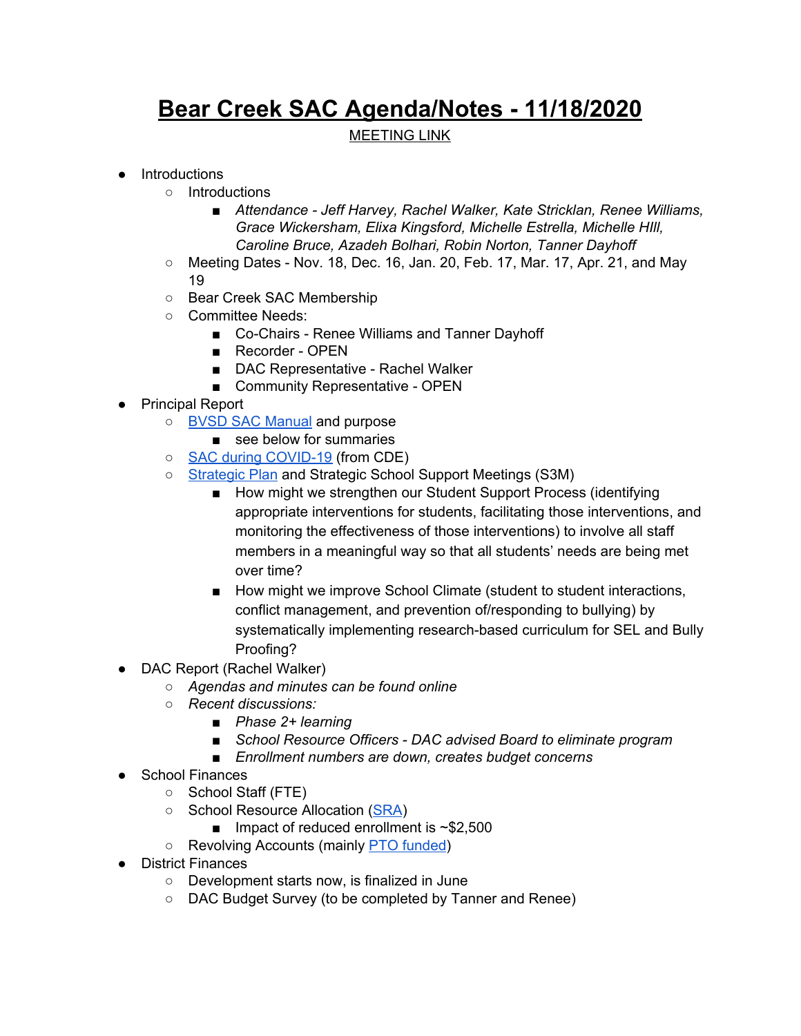## **Bear Creek SAC Agenda/Notes - 11/18/2020**

## MEETING LINK

- Introductions
	- Introductions
		- *■ Attendance - Jeff Harvey, Rachel Walker, Kate Stricklan, Renee Williams, Grace Wickersham, Elixa Kingsford, Michelle Estrella, Michelle HIll, Caroline Bruce, Azadeh Bolhari, Robin Norton, Tanner Dayhoff*
	- $\circ$  Meeting Dates Nov. 18, Dec. 16, Jan. 20, Feb. 17, Mar. 17, Apr. 21, and May 19
	- Bear Creek SAC Membership
	- Committee Needs:
		- Co-Chairs Renee Williams and Tanner Dayhoff
		- Recorder OPEN
		- DAC Representative Rachel Walker
		- Community Representative OPEN
- Principal Report
	- BVSD SAC [Manual](https://resources.finalsite.net/images/v1587479073/bvsdorg/indglf45rw5d9a0y8r0w/SchoolAccountabilityCommitteManual2019.pdf) and purpose
		- see below for summaries
	- SAC during [COVID-19](https://resources.finalsite.net/images/v1599178727/bvsdorg/oet6gfoiqmmcpgqvk1ez/Sept2020SACduringCOVID19.pdf) (from CDE)
	- o [Strategic](https://www.bvsd.org/about/strategic-plan) Plan and Strategic School Support Meetings (S3M)
		- How might we strengthen our Student Support Process (identifying appropriate interventions for students, facilitating those interventions, and monitoring the effectiveness of those interventions) to involve all staff members in a meaningful way so that all students' needs are being met over time?
		- How might we improve School Climate (student to student interactions, conflict management, and prevention of/responding to bullying) by systematically implementing research-based curriculum for SEL and Bully Proofing?
- DAC Report (Rachel Walker)
	- *○ Agendas and minutes can be found online*
	- *○ Recent discussions:*
		- *■ Phase 2+ learning*
		- *■ School Resource Officers - DAC advised Board to eliminate program*
		- *■ Enrollment numbers are down, creates budget concerns*
- School Finances
	- School Staff (FTE)
	- School Resource Allocation [\(SRA\)](https://drive.google.com/file/d/11hT7MCBdNVrsh_H1vJvWf6I_Bto0fgf4/view?usp=sharing)
		- $\blacksquare$  Impact of reduced enrollment is ~\$2,500
	- Revolving Accounts (mainly PTO [funded](https://drive.google.com/file/d/17BwgVeRNaV4XdQ0g_gkNq3qJpHCGSiB1/view?usp=sharing))
- District Finances
	- Development starts now, is finalized in June
	- DAC Budget Survey (to be completed by Tanner and Renee)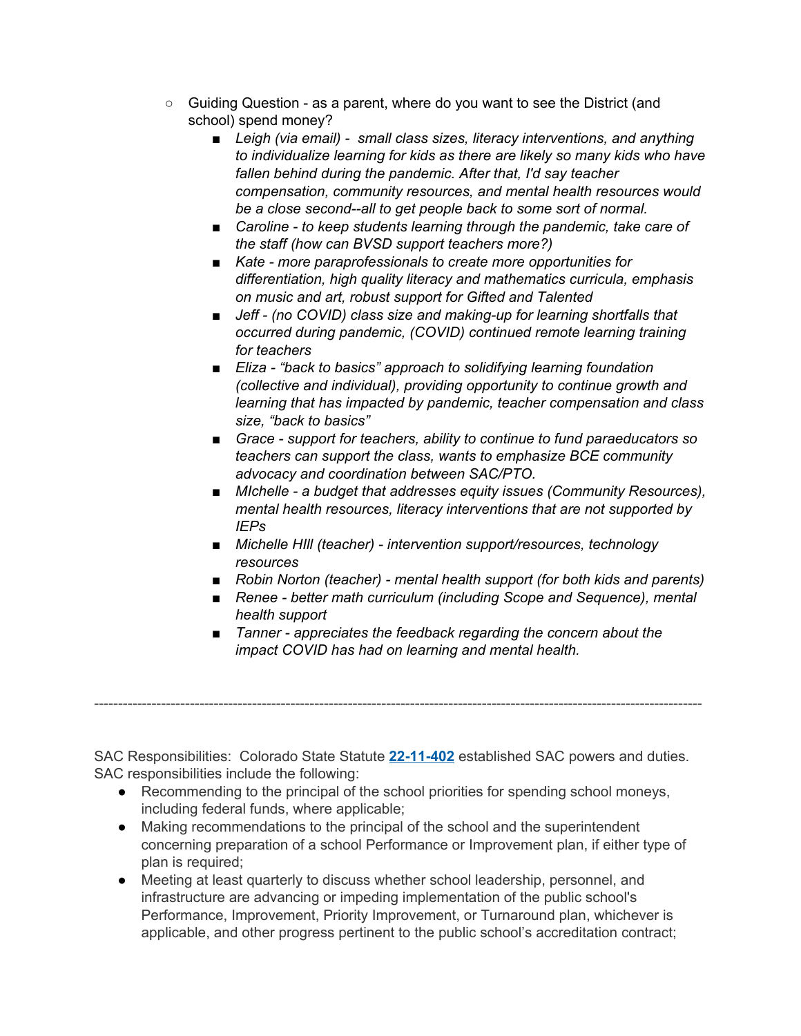- Guiding Question as a parent, where do you want to see the District (and school) spend money?
	- *■ Leigh (via email) - small class sizes, literacy interventions, and anything to individualize learning for kids as there are likely so many kids who have fallen behind during the pandemic. After that, I'd say teacher compensation, community resources, and mental health resources would be a close second--all to get people back to some sort of normal.*
	- *■ Caroline - to keep students learning through the pandemic, take care of the staff (how can BVSD support teachers more?)*
	- *■ Kate - more paraprofessionals to create more opportunities for differentiation, high quality literacy and mathematics curricula, emphasis on music and art, robust support for Gifted and Talented*
	- *■ Jeff - (no COVID) class size and making-up for learning shortfalls that occurred during pandemic, (COVID) continued remote learning training for teachers*
	- *■ Eliza - "back to basics" approach to solidifying learning foundation (collective and individual), providing opportunity to continue growth and learning that has impacted by pandemic, teacher compensation and class size, "back to basics"*
	- *■ Grace - support for teachers, ability to continue to fund paraeducators so teachers can support the class, wants to emphasize BCE community advocacy and coordination between SAC/PTO.*
	- *■ MIchelle - a budget that addresses equity issues (Community Resources), mental health resources, literacy interventions that are not supported by IEPs*
	- *■ Michelle HIll (teacher) - intervention support/resources, technology resources*
	- *■ Robin Norton (teacher) - mental health support (for both kids and parents)*
	- *■ Renee - better math curriculum (including Scope and Sequence), mental health support*
	- *■ Tanner - appreciates the feedback regarding the concern about the impact COVID has had on learning and mental health.*

SAC Responsibilities: Colorado State Statute **[22-11-402](http://www.lpdirect.net/casb/crs/22-11-402.html)** established SAC powers and duties. SAC responsibilities include the following:

-------------------------------------------------------------------------------------------------------------------------------

- Recommending to the principal of the school priorities for spending school moneys, including federal funds, where applicable;
- Making recommendations to the principal of the school and the superintendent concerning preparation of a school Performance or Improvement plan, if either type of plan is required;
- Meeting at least quarterly to discuss whether school leadership, personnel, and infrastructure are advancing or impeding implementation of the public school's Performance, Improvement, Priority Improvement, or Turnaround plan, whichever is applicable, and other progress pertinent to the public school's accreditation contract;